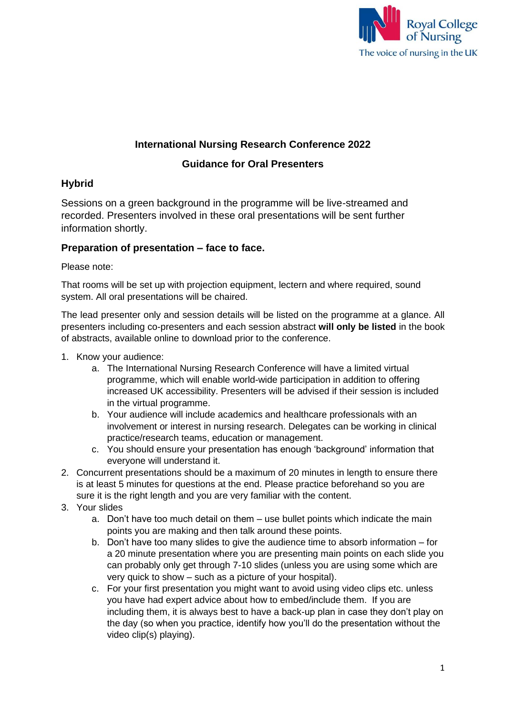

## **International Nursing Research Conference 2022**

# **Guidance for Oral Presenters**

## **Hybrid**

Sessions on a green background in the programme will be live-streamed and recorded. Presenters involved in these oral presentations will be sent further information shortly.

### **Preparation of presentation – face to face.**

Please note:

That rooms will be set up with projection equipment, lectern and where required, sound system. All oral presentations will be chaired.

The lead presenter only and session details will be listed on the programme at a glance. All presenters including co-presenters and each session abstract **will only be listed** in the book of abstracts, available online to download prior to the conference.

- 1. Know your audience:
	- a. The International Nursing Research Conference will have a limited virtual programme, which will enable world-wide participation in addition to offering increased UK accessibility. Presenters will be advised if their session is included in the virtual programme.
	- b. Your audience will include academics and healthcare professionals with an involvement or interest in nursing research. Delegates can be working in clinical practice/research teams, education or management.
	- c. You should ensure your presentation has enough 'background' information that everyone will understand it.
- 2. Concurrent presentations should be a maximum of 20 minutes in length to ensure there is at least 5 minutes for questions at the end. Please practice beforehand so you are sure it is the right length and you are very familiar with the content.
- 3. Your slides
	- a. Don't have too much detail on them use bullet points which indicate the main points you are making and then talk around these points.
	- b. Don't have too many slides to give the audience time to absorb information for a 20 minute presentation where you are presenting main points on each slide you can probably only get through 7-10 slides (unless you are using some which are very quick to show – such as a picture of your hospital).
	- c. For your first presentation you might want to avoid using video clips etc. unless you have had expert advice about how to embed/include them. If you are including them, it is always best to have a back-up plan in case they don't play on the day (so when you practice, identify how you'll do the presentation without the video clip(s) playing).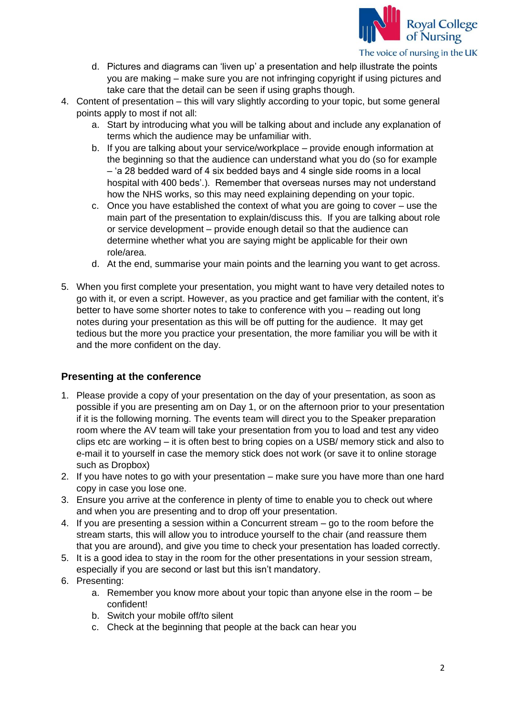

- d. Pictures and diagrams can 'liven up' a presentation and help illustrate the points you are making – make sure you are not infringing copyright if using pictures and take care that the detail can be seen if using graphs though.
- 4. Content of presentation this will vary slightly according to your topic, but some general points apply to most if not all:
	- a. Start by introducing what you will be talking about and include any explanation of terms which the audience may be unfamiliar with.
	- b. If you are talking about your service/workplace provide enough information at the beginning so that the audience can understand what you do (so for example – 'a 28 bedded ward of 4 six bedded bays and 4 single side rooms in a local hospital with 400 beds'.). Remember that overseas nurses may not understand how the NHS works, so this may need explaining depending on your topic.
	- c. Once you have established the context of what you are going to cover use the main part of the presentation to explain/discuss this. If you are talking about role or service development – provide enough detail so that the audience can determine whether what you are saying might be applicable for their own role/area.
	- d. At the end, summarise your main points and the learning you want to get across.
- 5. When you first complete your presentation, you might want to have very detailed notes to go with it, or even a script. However, as you practice and get familiar with the content, it's better to have some shorter notes to take to conference with you – reading out long notes during your presentation as this will be off putting for the audience. It may get tedious but the more you practice your presentation, the more familiar you will be with it and the more confident on the day.

### **Presenting at the conference**

- 1. Please provide a copy of your presentation on the day of your presentation, as soon as possible if you are presenting am on Day 1, or on the afternoon prior to your presentation if it is the following morning. The events team will direct you to the Speaker preparation room where the AV team will take your presentation from you to load and test any video clips etc are working – it is often best to bring copies on a USB/ memory stick and also to e-mail it to yourself in case the memory stick does not work (or save it to online storage such as Dropbox)
- 2. If you have notes to go with your presentation make sure you have more than one hard copy in case you lose one.
- 3. Ensure you arrive at the conference in plenty of time to enable you to check out where and when you are presenting and to drop off your presentation.
- 4. If you are presenting a session within a Concurrent stream go to the room before the stream starts, this will allow you to introduce yourself to the chair (and reassure them that you are around), and give you time to check your presentation has loaded correctly.
- 5. It is a good idea to stay in the room for the other presentations in your session stream, especially if you are second or last but this isn't mandatory.
- 6. Presenting:
	- a. Remember you know more about your topic than anyone else in the room be confident!
	- b. Switch your mobile off/to silent
	- c. Check at the beginning that people at the back can hear you